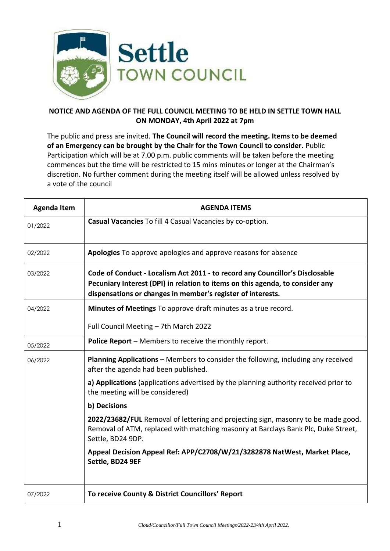

## **NOTICE AND AGENDA OF THE FULL COUNCIL MEETING TO BE HELD IN SETTLE TOWN HALL ON MONDAY, 4th April 2022 at 7pm**

The public and press are invited. **The Council will record the meeting. Items to be deemed of an Emergency can be brought by the Chair for the Town Council to consider.** Public Participation which will be at 7.00 p.m. public comments will be taken before the meeting commences but the time will be restricted to 15 mins minutes or longer at the Chairman's discretion. No further comment during the meeting itself will be allowed unless resolved by a vote of the council

| <b>Agenda Item</b> | <b>AGENDA ITEMS</b>                                                                                                                                                                                                          |
|--------------------|------------------------------------------------------------------------------------------------------------------------------------------------------------------------------------------------------------------------------|
| 01/2022            | Casual Vacancies To fill 4 Casual Vacancies by co-option.                                                                                                                                                                    |
| 02/2022            | <b>Apologies</b> To approve apologies and approve reasons for absence                                                                                                                                                        |
| 03/2022            | Code of Conduct - Localism Act 2011 - to record any Councillor's Disclosable<br>Pecuniary Interest (DPI) in relation to items on this agenda, to consider any<br>dispensations or changes in member's register of interests. |
| 04/2022            | Minutes of Meetings To approve draft minutes as a true record.                                                                                                                                                               |
|                    | Full Council Meeting - 7th March 2022                                                                                                                                                                                        |
| 05/2022            | <b>Police Report</b> – Members to receive the monthly report.                                                                                                                                                                |
| 06/2022            | <b>Planning Applications</b> – Members to consider the following, including any received<br>after the agenda had been published.                                                                                             |
|                    | a) Applications (applications advertised by the planning authority received prior to<br>the meeting will be considered)                                                                                                      |
|                    | b) Decisions                                                                                                                                                                                                                 |
|                    | 2022/23682/FUL Removal of lettering and projecting sign, masonry to be made good.<br>Removal of ATM, replaced with matching masonry at Barclays Bank Plc, Duke Street,<br>Settle, BD24 9DP.                                  |
|                    | Appeal Decision Appeal Ref: APP/C2708/W/21/3282878 NatWest, Market Place,<br>Settle, BD24 9EF                                                                                                                                |
| 07/2022            | To receive County & District Councillors' Report                                                                                                                                                                             |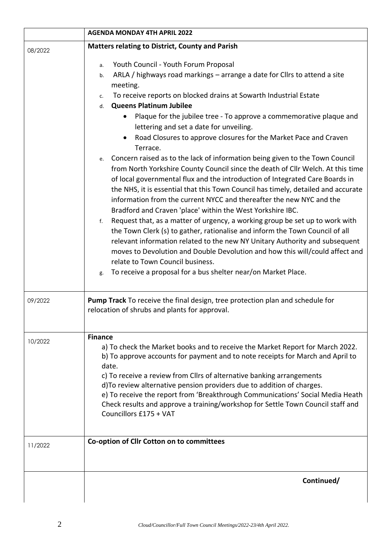|         | <b>AGENDA MONDAY 4TH APRIL 2022</b>                                                                                                                                                                                                                                                                                                                                                                                                                                                                                                          |
|---------|----------------------------------------------------------------------------------------------------------------------------------------------------------------------------------------------------------------------------------------------------------------------------------------------------------------------------------------------------------------------------------------------------------------------------------------------------------------------------------------------------------------------------------------------|
| 08/2022 | Matters relating to District, County and Parish                                                                                                                                                                                                                                                                                                                                                                                                                                                                                              |
|         | Youth Council - Youth Forum Proposal<br>a.                                                                                                                                                                                                                                                                                                                                                                                                                                                                                                   |
|         | ARLA / highways road markings - arrange a date for Cllrs to attend a site<br>b.                                                                                                                                                                                                                                                                                                                                                                                                                                                              |
|         | meeting.<br>To receive reports on blocked drains at Sowarth Industrial Estate                                                                                                                                                                                                                                                                                                                                                                                                                                                                |
|         | c.<br><b>Queens Platinum Jubilee</b><br>d.                                                                                                                                                                                                                                                                                                                                                                                                                                                                                                   |
|         | Plaque for the jubilee tree - To approve a commemorative plaque and                                                                                                                                                                                                                                                                                                                                                                                                                                                                          |
|         | lettering and set a date for unveiling.                                                                                                                                                                                                                                                                                                                                                                                                                                                                                                      |
|         | Road Closures to approve closures for the Market Pace and Craven                                                                                                                                                                                                                                                                                                                                                                                                                                                                             |
|         | Terrace.                                                                                                                                                                                                                                                                                                                                                                                                                                                                                                                                     |
|         | Concern raised as to the lack of information being given to the Town Council<br>e.<br>from North Yorkshire County Council since the death of Cllr Welch. At this time<br>of local governmental flux and the introduction of Integrated Care Boards in<br>the NHS, it is essential that this Town Council has timely, detailed and accurate<br>information from the current NYCC and thereafter the new NYC and the<br>Bradford and Craven 'place' within the West Yorkshire IBC.                                                             |
|         | Request that, as a matter of urgency, a working group be set up to work with<br>f.<br>the Town Clerk (s) to gather, rationalise and inform the Town Council of all<br>relevant information related to the new NY Unitary Authority and subsequent<br>moves to Devolution and Double Devolution and how this will/could affect and<br>relate to Town Council business.<br>To receive a proposal for a bus shelter near/on Market Place.<br>g.                                                                                                 |
| 09/2022 | Pump Track To receive the final design, tree protection plan and schedule for<br>relocation of shrubs and plants for approval.                                                                                                                                                                                                                                                                                                                                                                                                               |
| 10/2022 | <b>Finance</b><br>a) To check the Market books and to receive the Market Report for March 2022.<br>b) To approve accounts for payment and to note receipts for March and April to<br>date.<br>c) To receive a review from Cllrs of alternative banking arrangements<br>d) To review alternative pension providers due to addition of charges.<br>e) To receive the report from 'Breakthrough Communications' Social Media Heath<br>Check results and approve a training/workshop for Settle Town Council staff and<br>Councillors £175 + VAT |
| 11/2022 | Co-option of Cllr Cotton on to committees                                                                                                                                                                                                                                                                                                                                                                                                                                                                                                    |
|         | Continued/                                                                                                                                                                                                                                                                                                                                                                                                                                                                                                                                   |